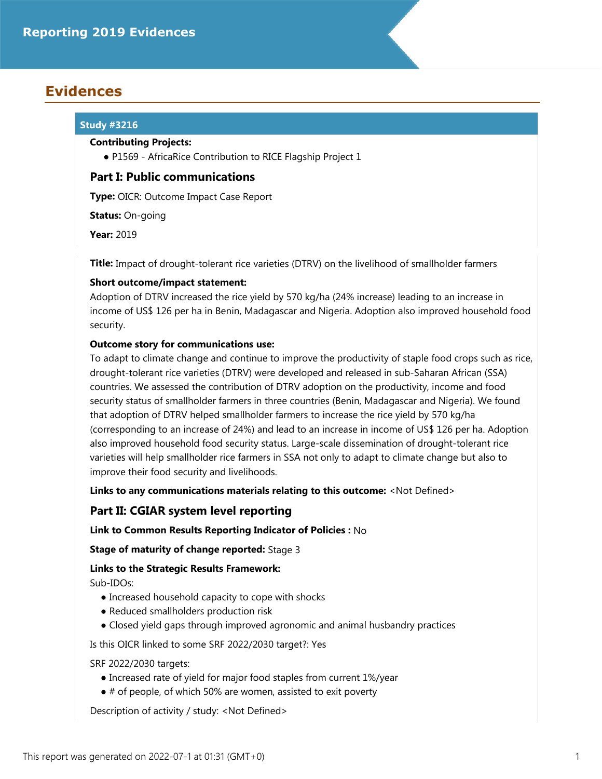# **Evidences**

## **Study #3216**

### **Contributing Projects:**

● P1569 - AfricaRice Contribution to RICE Flagship Project 1

## **Part I: Public communications**

**Type:** OICR: Outcome Impact Case Report

**Status:** On-going

**Year:** 2019

**Title:** Impact of drought-tolerant rice varieties (DTRV) on the livelihood of smallholder farmers

## **Short outcome/impact statement:**

Adoption of DTRV increased the rice yield by 570 kg/ha (24% increase) leading to an increase in income of US\$ 126 per ha in Benin, Madagascar and Nigeria. Adoption also improved household food security.

## **Outcome story for communications use:**

To adapt to climate change and continue to improve the productivity of staple food crops such as rice, drought-tolerant rice varieties (DTRV) were developed and released in sub-Saharan African (SSA) countries. We assessed the contribution of DTRV adoption on the productivity, income and food security status of smallholder farmers in three countries (Benin, Madagascar and Nigeria). We found that adoption of DTRV helped smallholder farmers to increase the rice yield by 570 kg/ha (corresponding to an increase of 24%) and lead to an increase in income of US\$ 126 per ha. Adoption also improved household food security status. Large-scale dissemination of drought-tolerant rice varieties will help smallholder rice farmers in SSA not only to adapt to climate change but also to improve their food security and livelihoods.

**Links to any communications materials relating to this outcome:** <Not Defined>

## **Part II: CGIAR system level reporting**

### **Link to Common Results Reporting Indicator of Policies :** No

**Stage of maturity of change reported:** Stage 3

## **Links to the Strategic Results Framework:**

Sub-IDOs:

- Increased household capacity to cope with shocks
- Reduced smallholders production risk
- Closed yield gaps through improved agronomic and animal husbandry practices

Is this OICR linked to some SRF 2022/2030 target?: Yes

SRF 2022/2030 targets:

- Increased rate of yield for major food staples from current 1%/year
- # of people, of which 50% are women, assisted to exit poverty

Description of activity / study: <Not Defined>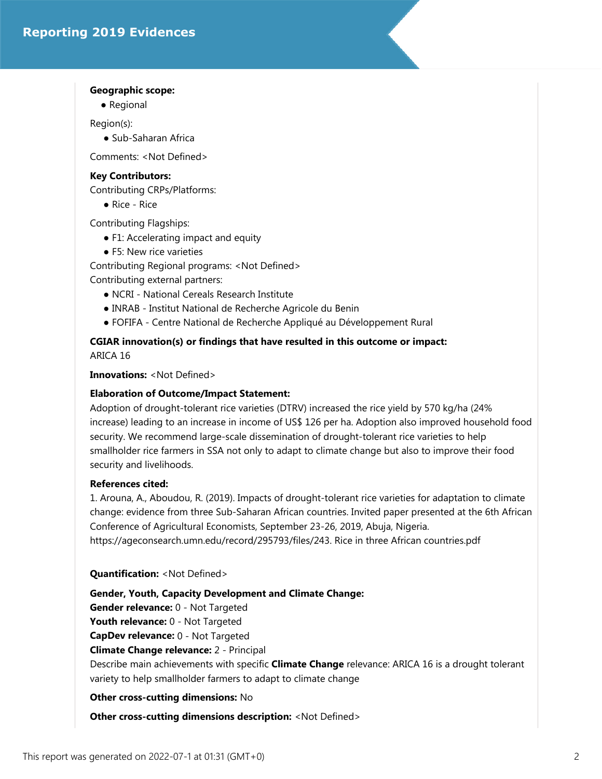#### **Geographic scope:**

● Regional

Region(s):

● Sub-Saharan Africa

Comments: <Not Defined>

#### **Key Contributors:**

Contributing CRPs/Platforms:

● Rice - Rice

Contributing Flagships:

- F1: Accelerating impact and equity
- F5: New rice varieties

Contributing Regional programs: <Not Defined> Contributing external partners:

- NCRI National Cereals Research Institute
- INRAB Institut National de Recherche Agricole du Benin
- FOFIFA Centre National de Recherche Appliqué au Développement Rural

## **CGIAR innovation(s) or findings that have resulted in this outcome or impact:** ARICA 16

**Innovations:** <Not Defined>

#### **Elaboration of Outcome/Impact Statement:**

Adoption of drought-tolerant rice varieties (DTRV) increased the rice yield by 570 kg/ha (24% increase) leading to an increase in income of US\$ 126 per ha. Adoption also improved household food security. We recommend large-scale dissemination of drought-tolerant rice varieties to help smallholder rice farmers in SSA not only to adapt to climate change but also to improve their food security and livelihoods.

#### **References cited:**

1. Arouna, A., Aboudou, R. (2019). Impacts of drought-tolerant rice varieties for adaptation to climate change: evidence from three Sub-Saharan African countries. Invited paper presented at the 6th African Conference of Agricultural Economists, September 23-26, 2019, Abuja, Nigeria. https://ageconsearch.umn.edu/record/295793/files/243. Rice in three African countries.pdf

#### **Quantification:** <Not Defined>

**Gender, Youth, Capacity Development and Climate Change: Gender relevance:** 0 - Not Targeted **Youth relevance:** 0 - Not Targeted **CapDev relevance:** 0 - Not Targeted **Climate Change relevance:** 2 - Principal Describe main achievements with specific **Climate Change** relevance: ARICA 16 is a drought tolerant variety to help smallholder farmers to adapt to climate change

#### **Other cross-cutting dimensions:** No

**Other cross-cutting dimensions description:** <Not Defined>